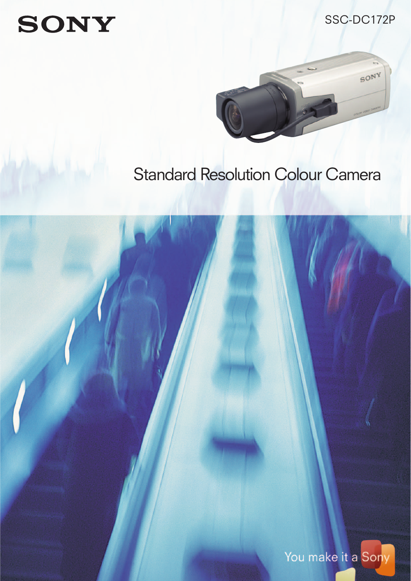# **SONY**

SSC-DC172P



## Standard Resolution Colour Camera

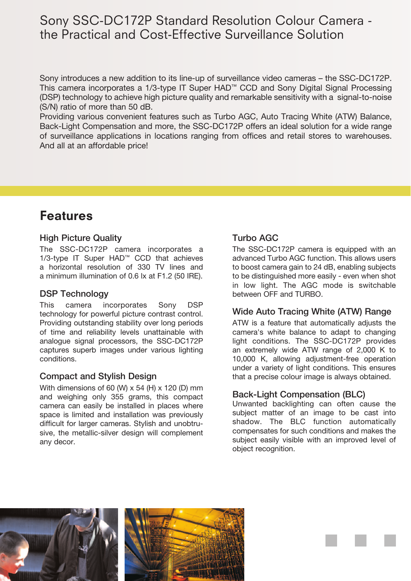#### Sony SSC-DC172P Standard Resolution Colour Camera the Practical and Cost-Effective Surveillance Solution

Sony introduces a new addition to its line-up of surveillance video cameras – the SSC-DC172P. This camera incorporates a 1/3-type IT Super HAD™ CCD and Sony Digital Signal Processing (DSP) technology to achieve high picture quality and remarkable sensitivity with a signal-to-noise (S/N) ratio of more than 50 dB.

Providing various convenient features such as Turbo AGC, Auto Tracing White (ATW) Balance, Back-Light Compensation and more, the SSC-DC172P offers an ideal solution for a wide range of surveillance applications in locations ranging from offices and retail stores to warehouses. And all at an affordable price!

### **Features**

#### High Picture Quality

The SSC-DC172P camera incorporates a 1/3-type IT Super HAD™ CCD that achieves a horizontal resolution of 330 TV lines and a minimum illumination of 0.6 lx at F1.2 (50 IRE).

#### DSP Technology

This camera incorporates Sony DSP technology for powerful picture contrast control. Providing outstanding stability over long periods of time and reliability levels unattainable with analogue signal processors, the SSC-DC172P captures superb images under various lighting conditions.

#### Compact and Stylish Design

With dimensions of 60 (W)  $\times$  54 (H)  $\times$  120 (D) mm and weighing only 355 grams, this compact camera can easily be installed in places where space is limited and installation was previously difficult for larger cameras. Stylish and unobtrusive, the metallic-silver design will complement any decor.

#### Turbo AGC

The SSC-DC172P camera is equipped with an advanced Turbo AGC function. This allows users to boost camera gain to 24 dB, enabling subjects to be distinguished more easily - even when shot in low light. The AGC mode is switchable between OFF and TURBO.

#### Wide Auto Tracing White (ATW) Range

ATW is a feature that automatically adjusts the camera's white balance to adapt to changing light conditions. The SSC-DC172P provides an extremely wide ATW range of 2,000 K to 10,000 K, allowing adjustment-free operation under a variety of light conditions. This ensures that a precise colour image is always obtained.

#### Back-Light Compensation (BLC)

Unwanted backlighting can often cause the subject matter of an image to be cast into shadow. The BLC function automatically compensates for such conditions and makes the subject easily visible with an improved level of object recognition.

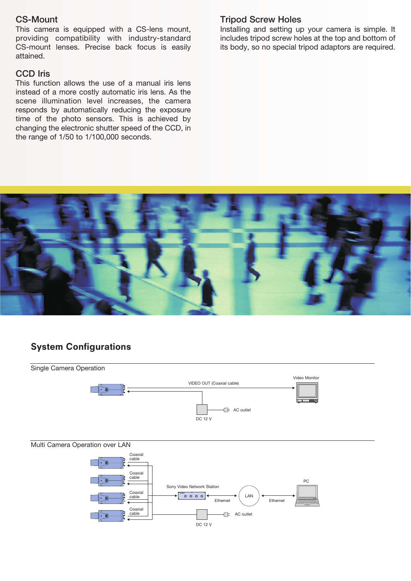#### CS-Mount

This camera is equipped with a CS-lens mount, providing compatibility with industry-standard CS-mount lenses. Precise back focus is easily attained.

#### CCD Iris

This function allows the use of a manual iris lens instead of a more costly automatic iris lens. As the scene illumination level increases, the camera responds by automatically reducing the exposure time of the photo sensors. This is achieved by changing the electronic shutter speed of the CCD, in the range of 1/50 to 1/100,000 seconds.

#### Tripod Screw Holes

Installing and setting up your camera is simple. It includes tripod screw holes at the top and bottom of its body, so no special tripod adaptors are required.



#### **System Configurations**